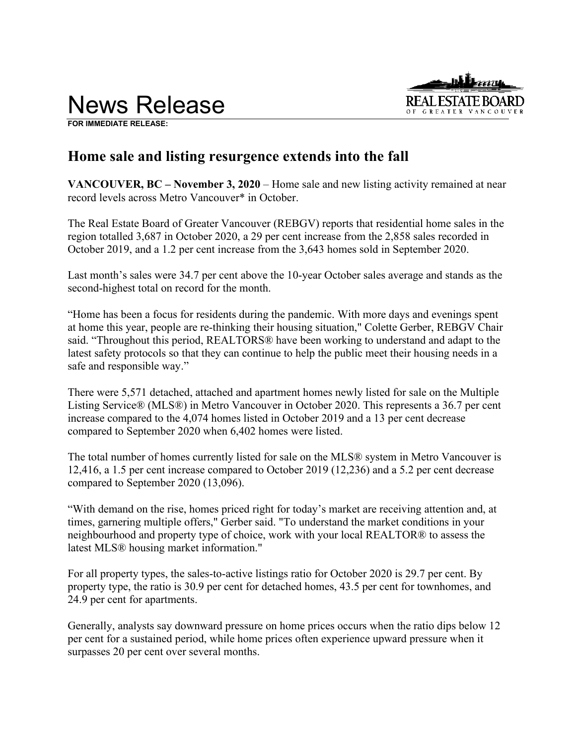



**FOR IMMEDIATE RELEASE:** 

# **Home sale and listing resurgence extends into the fall**

**VANCOUVER, BC – November 3, 2020** – Home sale and new listing activity remained at near record levels across Metro Vancouver\* in October.

The Real Estate Board of Greater Vancouver (REBGV) reports that residential home sales in the region totalled 3,687 in October 2020, a 29 per cent increase from the 2,858 sales recorded in October 2019, and a 1.2 per cent increase from the 3,643 homes sold in September 2020.

Last month's sales were 34.7 per cent above the 10-year October sales average and stands as the second-highest total on record for the month.

"Home has been a focus for residents during the pandemic. With more days and evenings spent at home this year, people are re-thinking their housing situation," Colette Gerber, REBGV Chair said. "Throughout this period, REALTORS® have been working to understand and adapt to the latest safety protocols so that they can continue to help the public meet their housing needs in a safe and responsible way."

There were 5,571 detached, attached and apartment homes newly listed for sale on the Multiple Listing Service® (MLS®) in Metro Vancouver in October 2020. This represents a 36.7 per cent increase compared to the 4,074 homes listed in October 2019 and a 13 per cent decrease compared to September 2020 when 6,402 homes were listed.

The total number of homes currently listed for sale on the MLS® system in Metro Vancouver is 12,416, a 1.5 per cent increase compared to October 2019 (12,236) and a 5.2 per cent decrease compared to September 2020 (13,096).

"With demand on the rise, homes priced right for today's market are receiving attention and, at times, garnering multiple offers," Gerber said. "To understand the market conditions in your neighbourhood and property type of choice, work with your local REALTOR® to assess the latest MLS® housing market information."

For all property types, the sales-to-active listings ratio for October 2020 is 29.7 per cent. By property type, the ratio is 30.9 per cent for detached homes, 43.5 per cent for townhomes, and 24.9 per cent for apartments.

Generally, analysts say downward pressure on home prices occurs when the ratio dips below 12 per cent for a sustained period, while home prices often experience upward pressure when it surpasses 20 per cent over several months.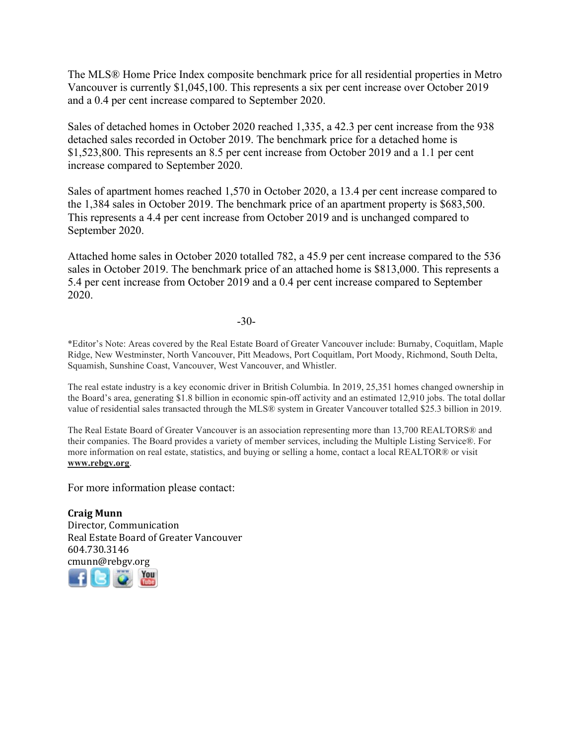The MLS® Home Price Index composite benchmark price for all residential properties in Metro Vancouver is currently \$1,045,100. This represents a six per cent increase over October 2019 and a 0.4 per cent increase compared to September 2020.

Sales of detached homes in October 2020 reached 1,335, a 42.3 per cent increase from the 938 detached sales recorded in October 2019. The benchmark price for a detached home is \$1,523,800. This represents an 8.5 per cent increase from October 2019 and a 1.1 per cent increase compared to September 2020.

Sales of apartment homes reached 1,570 in October 2020, a 13.4 per cent increase compared to the 1,384 sales in October 2019. The benchmark price of an apartment property is \$683,500. This represents a 4.4 per cent increase from October 2019 and is unchanged compared to September 2020.

Attached home sales in October 2020 totalled 782, a 45.9 per cent increase compared to the 536 sales in October 2019. The benchmark price of an attached home is \$813,000. This represents a 5.4 per cent increase from October 2019 and a 0.4 per cent increase compared to September 2020.

-30-

\*Editor's Note: Areas covered by the Real Estate Board of Greater Vancouver include: Burnaby, Coquitlam, Maple Ridge, New Westminster, North Vancouver, Pitt Meadows, Port Coquitlam, Port Moody, Richmond, South Delta, Squamish, Sunshine Coast, Vancouver, West Vancouver, and Whistler.

The real estate industry is a key economic driver in British Columbia. In 2019, 25,351 homes changed ownership in the Board's area, generating \$1.8 billion in economic spin-off activity and an estimated 12,910 jobs. The total dollar value of residential sales transacted through the MLS® system in Greater Vancouver totalled \$25.3 billion in 2019.

The Real Estate Board of Greater Vancouver is an association representing more than 13,700 REALTORS® and their companies. The Board provides a variety of member services, including the Multiple Listing Service®. For more information on real estate, statistics, and buying or selling a home, contact a local REALTOR® or visit **www.rebgv.org**.

For more information please contact:

**Craig Munn** Director, Communication Real Estate Board of Greater Vancouver 604.730.3146 [cmu](http://www.facebook.com/rebgv)[nn@r](http://www.twitter.com/rebgv)[ebgv.](http://www.rebgv.org/)[org](http://www.youtube.com/user/rebgv)

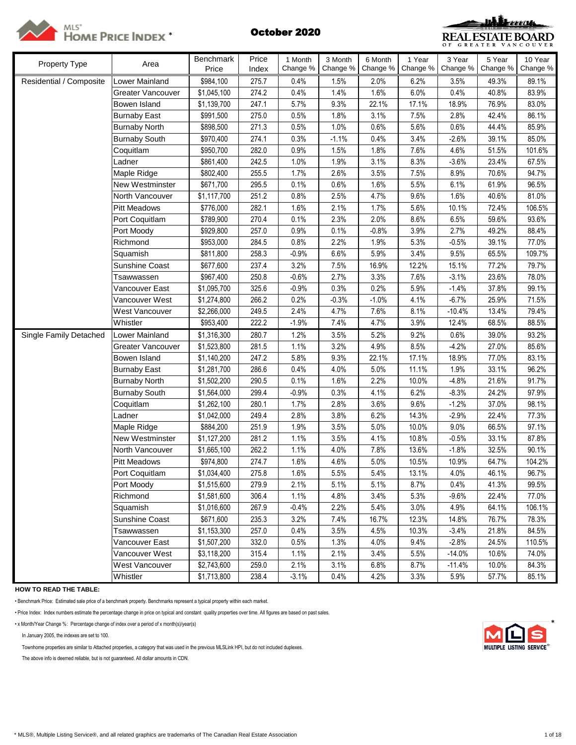



| Property Type           | Area                   | Benchmark   | Price | 1 Month  | 3 Month  | 6 Month  | 1 Year   | 3 Year   | 5 Year   | 10 Year  |
|-------------------------|------------------------|-------------|-------|----------|----------|----------|----------|----------|----------|----------|
|                         |                        | Price       | Index | Change % | Change % | Change % | Change % | Change % | Change % | Change % |
| Residential / Composite | Lower Mainland         | \$984,100   | 275.7 | 0.4%     | 1.5%     | 2.0%     | 6.2%     | 3.5%     | 49.3%    | 89.1%    |
|                         | Greater Vancouver      | \$1,045,100 | 274.2 | 0.4%     | 1.4%     | 1.6%     | 6.0%     | 0.4%     | 40.8%    | 83.9%    |
|                         | Bowen Island           | \$1,139,700 | 247.1 | 5.7%     | 9.3%     | 22.1%    | 17.1%    | 18.9%    | 76.9%    | 83.0%    |
|                         | <b>Burnaby East</b>    | \$991,500   | 275.0 | 0.5%     | 1.8%     | 3.1%     | 7.5%     | 2.8%     | 42.4%    | 86.1%    |
|                         | <b>Burnaby North</b>   | \$898,500   | 271.3 | 0.5%     | 1.0%     | 0.6%     | 5.6%     | 0.6%     | 44.4%    | 85.9%    |
|                         | <b>Burnaby South</b>   | \$970,400   | 274.1 | 0.3%     | $-1.1%$  | 0.4%     | 3.4%     | $-2.6%$  | 39.1%    | 85.0%    |
|                         | Coquitlam              | \$950,700   | 282.0 | 0.9%     | 1.5%     | 1.8%     | 7.6%     | 4.6%     | 51.5%    | 101.6%   |
|                         | Ladner                 | \$861,400   | 242.5 | 1.0%     | 1.9%     | 3.1%     | 8.3%     | $-3.6%$  | 23.4%    | 67.5%    |
|                         | Maple Ridge            | \$802,400   | 255.5 | 1.7%     | 2.6%     | 3.5%     | 7.5%     | 8.9%     | 70.6%    | 94.7%    |
|                         | <b>New Westminster</b> | \$671,700   | 295.5 | 0.1%     | 0.6%     | 1.6%     | 5.5%     | 6.1%     | 61.9%    | 96.5%    |
|                         | North Vancouver        | \$1,117,700 | 251.2 | 0.8%     | 2.5%     | 4.7%     | 9.6%     | 1.6%     | 40.6%    | 81.0%    |
|                         | <b>Pitt Meadows</b>    | \$776,000   | 282.1 | 1.6%     | 2.1%     | 1.7%     | 5.6%     | 10.1%    | 72.4%    | 106.5%   |
|                         | Port Coquitlam         | \$789,900   | 270.4 | 0.1%     | 2.3%     | 2.0%     | 8.6%     | 6.5%     | 59.6%    | 93.6%    |
|                         | Port Moody             | \$929,800   | 257.0 | 0.9%     | 0.1%     | $-0.8%$  | 3.9%     | 2.7%     | 49.2%    | 88.4%    |
|                         | Richmond               | \$953,000   | 284.5 | 0.8%     | 2.2%     | 1.9%     | 5.3%     | $-0.5%$  | 39.1%    | 77.0%    |
|                         | Squamish               | \$811,800   | 258.3 | $-0.9%$  | 6.6%     | 5.9%     | 3.4%     | 9.5%     | 65.5%    | 109.7%   |
|                         | <b>Sunshine Coast</b>  | \$677,600   | 237.4 | 3.2%     | 7.5%     | 16.9%    | 12.2%    | 15.1%    | 77.2%    | 79.7%    |
|                         | Tsawwassen             | \$967,400   | 250.8 | $-0.6%$  | 2.7%     | 3.3%     | 7.6%     | $-3.1%$  | 23.6%    | 78.0%    |
|                         | Vancouver East         | \$1,095,700 | 325.6 | $-0.9%$  | 0.3%     | 0.2%     | 5.9%     | $-1.4%$  | 37.8%    | 99.1%    |
|                         | Vancouver West         | \$1,274,800 | 266.2 | 0.2%     | $-0.3%$  | $-1.0%$  | 4.1%     | $-6.7%$  | 25.9%    | 71.5%    |
|                         | West Vancouver         | \$2,266,000 | 249.5 | 2.4%     | 4.7%     | 7.6%     | 8.1%     | $-10.4%$ | 13.4%    | 79.4%    |
|                         | Whistler               | \$953,400   | 222.2 | $-1.9%$  | 7.4%     | 4.7%     | 3.9%     | 12.4%    | 68.5%    | 88.5%    |
| Single Family Detached  | Lower Mainland         | \$1,316,300 | 280.7 | 1.2%     | 3.5%     | 5.2%     | 9.2%     | 0.6%     | 39.0%    | 93.2%    |
|                         | Greater Vancouver      | \$1,523,800 | 281.5 | 1.1%     | 3.2%     | 4.9%     | 8.5%     | $-4.2%$  | 27.0%    | 85.6%    |
|                         | Bowen Island           | \$1,140,200 | 247.2 | 5.8%     | 9.3%     | 22.1%    | 17.1%    | 18.9%    | 77.0%    | 83.1%    |
|                         | <b>Burnaby East</b>    | \$1,281,700 | 286.6 | 0.4%     | 4.0%     | 5.0%     | 11.1%    | 1.9%     | 33.1%    | 96.2%    |
|                         | <b>Burnaby North</b>   | \$1,502,200 | 290.5 | 0.1%     | 1.6%     | 2.2%     | 10.0%    | $-4.8%$  | 21.6%    | 91.7%    |
|                         | <b>Burnaby South</b>   | \$1,564,000 | 299.4 | $-0.9%$  | 0.3%     | 4.1%     | 6.2%     | $-8.3%$  | 24.2%    | 97.9%    |
|                         | Coquitlam              | \$1,262,100 | 280.1 | 1.7%     | 2.8%     | 3.6%     | 9.6%     | $-1.2%$  | 37.0%    | 98.1%    |
|                         | Ladner                 | \$1,042,000 | 249.4 | 2.8%     | 3.8%     | 6.2%     | 14.3%    | $-2.9%$  | 22.4%    | 77.3%    |
|                         | Maple Ridge            | \$884,200   | 251.9 | 1.9%     | 3.5%     | 5.0%     | 10.0%    | 9.0%     | 66.5%    | 97.1%    |
|                         | <b>New Westminster</b> | \$1,127,200 | 281.2 | 1.1%     | 3.5%     | 4.1%     | 10.8%    | $-0.5%$  | 33.1%    | 87.8%    |
|                         | North Vancouver        | \$1,665,100 | 262.2 | 1.1%     | 4.0%     | 7.8%     | 13.6%    | $-1.8%$  | 32.5%    | 90.1%    |
|                         | <b>Pitt Meadows</b>    | \$974,800   | 274.7 | 1.6%     | 4.6%     | 5.0%     | 10.5%    | 10.9%    | 64.7%    | 104.2%   |
|                         | Port Coquitlam         | \$1,034,400 | 275.8 | 1.6%     | 5.5%     | 5.4%     | 13.1%    | 4.0%     | 46.1%    | 96.7%    |
|                         | Port Moody             | \$1,515,600 | 279.9 | 2.1%     | 5.1%     | 5.1%     | 8.7%     | 0.4%     | 41.3%    | 99.5%    |
|                         | Richmond               | \$1,581,600 | 306.4 | 1.1%     | 4.8%     | 3.4%     | 5.3%     | $-9.6%$  | 22.4%    | 77.0%    |
|                         | Squamish               | \$1,016,600 | 267.9 | $-0.4%$  | 2.2%     | 5.4%     | 3.0%     | 4.9%     | 64.1%    | 106.1%   |
|                         | Sunshine Coast         | \$671,600   | 235.3 | 3.2%     | 7.4%     | 16.7%    | 12.3%    | 14.8%    | 76.7%    | 78.3%    |
|                         | Tsawwassen             | \$1,153,300 | 257.0 | 0.4%     | 3.5%     | 4.5%     | 10.3%    | $-3.4%$  | 21.8%    | 84.5%    |
|                         | Vancouver East         | \$1,507,200 | 332.0 | 0.5%     | 1.3%     | 4.0%     | 9.4%     | $-2.8%$  | 24.5%    | 110.5%   |
|                         | Vancouver West         | \$3,118,200 | 315.4 | 1.1%     | 2.1%     | 3.4%     | 5.5%     | $-14.0%$ | 10.6%    | 74.0%    |
|                         | West Vancouver         | \$2,743,600 | 259.0 | 2.1%     | 3.1%     | 6.8%     | 8.7%     | $-11.4%$ | 10.0%    | 84.3%    |
|                         | Whistler               | \$1,713,800 | 238.4 | $-3.1%$  | 0.4%     | 4.2%     | 3.3%     | 5.9%     | 57.7%    | 85.1%    |

**HOW TO READ THE TABLE:**

• Benchmark Price: Estimated sale price of a benchmark property. Benchmarks represent a typical property within each market.

• Price Index: Index numbers estimate the percentage change in price on typical and constant quality properties over time. All figures are based on past sales.

• x Month/Year Change %: Percentage change of index over a period of x month(s)/year(s) \*

In January 2005, the indexes are set to 100.

Townhome properties are similar to Attached properties, a category that was used in the previous MLSLink HPI, but do not included duplexes.

The above info is deemed reliable, but is not guaranteed. All dollar amounts in CDN.

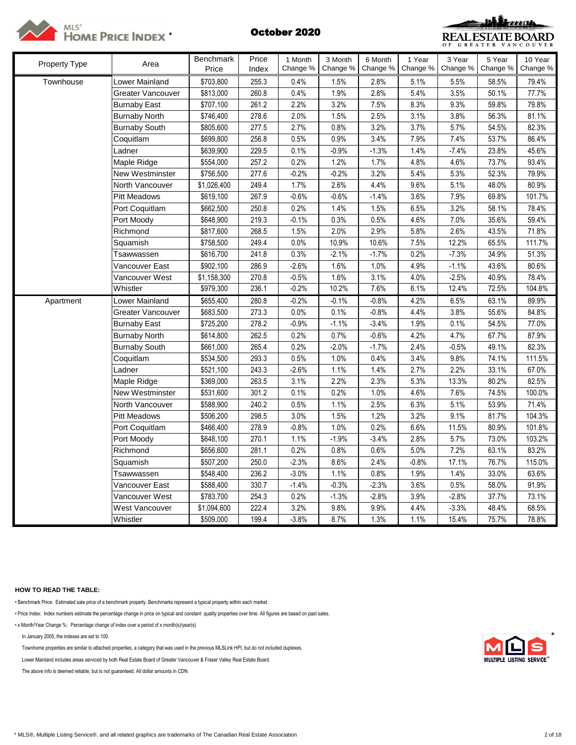



| Property Type | Area                 | <b>Benchmark</b> | Price | 1 Month  | 3 Month  | 6 Month  | 1 Year   | 3 Year   | 5 Year   | 10 Year  |
|---------------|----------------------|------------------|-------|----------|----------|----------|----------|----------|----------|----------|
|               |                      | Price            | Index | Change % | Change % | Change % | Change % | Change % | Change % | Change % |
| Townhouse     | _ower Mainland       | \$703,800        | 255.3 | 0.4%     | 1.5%     | 2.8%     | 5.1%     | 5.5%     | 58.5%    | 79.4%    |
|               | Greater Vancouver    | \$813,000        | 260.8 | 0.4%     | 1.9%     | 2.8%     | 5.4%     | 3.5%     | 50.1%    | 77.7%    |
|               | <b>Burnaby East</b>  | \$707,100        | 261.2 | 2.2%     | 3.2%     | 7.5%     | 8.3%     | 9.3%     | 59.8%    | 79.8%    |
|               | <b>Burnaby North</b> | \$746,400        | 278.6 | 2.0%     | 1.5%     | 2.5%     | 3.1%     | 3.8%     | 56.3%    | 81.1%    |
|               | <b>Burnaby South</b> | \$805,600        | 277.5 | 2.7%     | 0.8%     | 3.2%     | 3.7%     | 5.7%     | 54.5%    | 82.3%    |
|               | Coquitlam            | \$699,800        | 256.8 | 0.5%     | 0.9%     | 3.4%     | 7.9%     | 7.4%     | 53.7%    | 86.4%    |
|               | Ladner               | \$639,900        | 229.5 | 0.1%     | $-0.9%$  | $-1.3%$  | 1.4%     | $-7.4%$  | 23.8%    | 45.6%    |
|               | Maple Ridge          | \$554,000        | 257.2 | 0.2%     | 1.2%     | 1.7%     | 4.8%     | 4.6%     | 73.7%    | 93.4%    |
|               | New Westminster      | \$756,500        | 277.6 | $-0.2%$  | $-0.2%$  | 3.2%     | 5.4%     | 5.3%     | 52.3%    | 79.9%    |
|               | North Vancouver      | \$1,026,400      | 249.4 | 1.7%     | 2.6%     | 4.4%     | 9.6%     | 5.1%     | 48.0%    | 80.9%    |
|               | <b>Pitt Meadows</b>  | \$619,100        | 267.9 | $-0.6%$  | $-0.6%$  | $-1.4%$  | 3.6%     | 7.9%     | 69.8%    | 101.7%   |
|               | Port Coquitlam       | \$662,500        | 250.8 | 0.2%     | 1.4%     | 1.5%     | 6.5%     | 3.2%     | 58.1%    | 78.4%    |
|               | Port Moody           | \$648,900        | 219.3 | $-0.1%$  | 0.3%     | 0.5%     | 4.6%     | 7.0%     | 35.6%    | 59.4%    |
|               | Richmond             | \$817,600        | 268.5 | 1.5%     | 2.0%     | 2.9%     | 5.8%     | 2.6%     | 43.5%    | 71.8%    |
|               | Squamish             | \$758,500        | 249.4 | 0.0%     | 10.9%    | 10.6%    | 7.5%     | 12.2%    | 65.5%    | 111.7%   |
|               | Tsawwassen           | \$616,700        | 241.8 | 0.3%     | $-2.1%$  | $-1.7%$  | 0.2%     | $-7.3%$  | 34.9%    | 51.3%    |
|               | Vancouver East       | \$902,100        | 286.9 | $-2.6%$  | 1.6%     | 1.0%     | 4.9%     | $-1.1%$  | 43.6%    | 80.6%    |
|               | Vancouver West       | \$1,158,300      | 270.8 | $-0.5%$  | 1.6%     | 3.1%     | 4.0%     | $-2.5%$  | 40.9%    | 78.4%    |
|               | Whistler             | \$979,300        | 236.1 | $-0.2%$  | 10.2%    | 7.6%     | 6.1%     | 12.4%    | 72.5%    | 104.8%   |
| Apartment     | Lower Mainland       | \$655,400        | 280.8 | $-0.2%$  | $-0.1%$  | $-0.8%$  | 4.2%     | 6.5%     | 63.1%    | 89.9%    |
|               | Greater Vancouver    | \$683,500        | 273.3 | 0.0%     | 0.1%     | $-0.8%$  | 4.4%     | 3.8%     | 55.6%    | 84.8%    |
|               | <b>Burnaby East</b>  | \$725,200        | 278.2 | $-0.9%$  | $-1.1%$  | $-3.4%$  | 1.9%     | 0.1%     | 54.5%    | 77.0%    |
|               | <b>Burnaby North</b> | \$614,800        | 262.5 | 0.2%     | 0.7%     | $-0.6%$  | 4.2%     | 4.7%     | 67.7%    | 87.9%    |
|               | <b>Burnaby South</b> | \$661,000        | 265.4 | 0.2%     | $-2.0%$  | $-1.7%$  | 2.4%     | $-0.5%$  | 49.1%    | 82.3%    |
|               | Coquitlam            | \$534,500        | 293.3 | 0.5%     | 1.0%     | 0.4%     | 3.4%     | 9.8%     | 74.1%    | 111.5%   |
|               | Ladner               | \$521,100        | 243.3 | $-2.6%$  | 1.1%     | 1.4%     | 2.7%     | 2.2%     | 33.1%    | 67.0%    |
|               | Maple Ridge          | \$369,000        | 263.5 | 3.1%     | 2.2%     | 2.3%     | 5.3%     | 13.3%    | 80.2%    | 82.5%    |
|               | New Westminster      | \$531,600        | 301.2 | 0.1%     | 0.2%     | 1.0%     | 4.6%     | 7.6%     | 74.5%    | 100.0%   |
|               | North Vancouver      | \$588,900        | 240.2 | 0.5%     | 1.1%     | 2.5%     | 6.3%     | 5.1%     | 53.9%    | 71.4%    |
|               | <b>Pitt Meadows</b>  | \$506,200        | 298.5 | 3.0%     | 1.5%     | 1.2%     | 3.2%     | 9.1%     | 81.7%    | 104.3%   |
|               | Port Coquitlam       | \$466,400        | 278.9 | $-0.8%$  | 1.0%     | 0.2%     | 6.6%     | 11.5%    | 80.9%    | 101.8%   |
|               | Port Moody           | \$648,100        | 270.1 | 1.1%     | $-1.9%$  | $-3.4%$  | 2.8%     | 5.7%     | 73.0%    | 103.2%   |
|               | Richmond             | \$656,600        | 281.1 | 0.2%     | 0.8%     | 0.6%     | 5.0%     | 7.2%     | 63.1%    | 83.2%    |
|               | Squamish             | \$507,200        | 250.0 | $-2.3%$  | 8.6%     | 2.4%     | $-0.8%$  | 17.1%    | 76.7%    | 115.0%   |
|               | Tsawwassen           | \$548,400        | 236.2 | $-3.0%$  | 1.1%     | 0.8%     | 1.9%     | 1.4%     | 33.0%    | 63.6%    |
|               | √ancouver East       | \$588,400        | 330.7 | $-1.4%$  | $-0.3%$  | $-2.3%$  | 3.6%     | 0.5%     | 58.0%    | 91.9%    |
|               | Vancouver West       | \$783,700        | 254.3 | 0.2%     | $-1.3%$  | $-2.8%$  | 3.9%     | $-2.8%$  | 37.7%    | 73.1%    |
|               | West Vancouver       | \$1,094,600      | 222.4 | 3.2%     | 9.8%     | 9.9%     | 4.4%     | $-3.3%$  | 48.4%    | 68.5%    |
|               | Whistler             | \$509,000        | 199.4 | $-3.8%$  | 8.7%     | 1.3%     | 1.1%     | 15.4%    | 75.7%    | 78.8%    |

# **HOW TO READ THE TABLE:**

• Benchmark Price: Estimated sale price of a benchmark property. Benchmarks represent a typical property within each market.

• Price Index: Index numbers estimate the percentage change in price on typical and constant quality properties over time. All figures are based on past sales.

• x Month/Year Change %: Percentage change of index over a period of x month(s)/year(s)

In January 2005, the indexes are set to 100. \*

Townhome properties are similar to attached properties, a category that was used in the previous MLSLink HPI, but do not included duplexes.

Lower Mainland includes areas serviced by both Real Estate Board of Greater Vancouver & Fraser Valley Real Estate Board.

The above info is deemed reliable, but is not guaranteed. All dollar amounts in CDN.

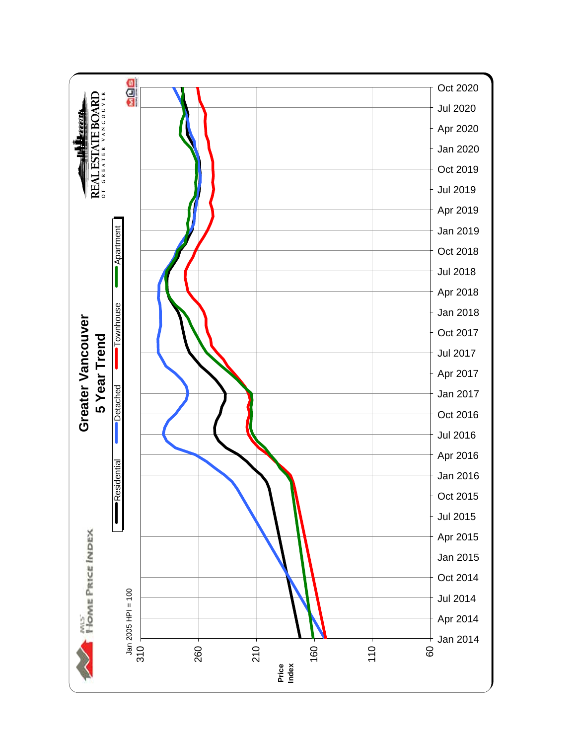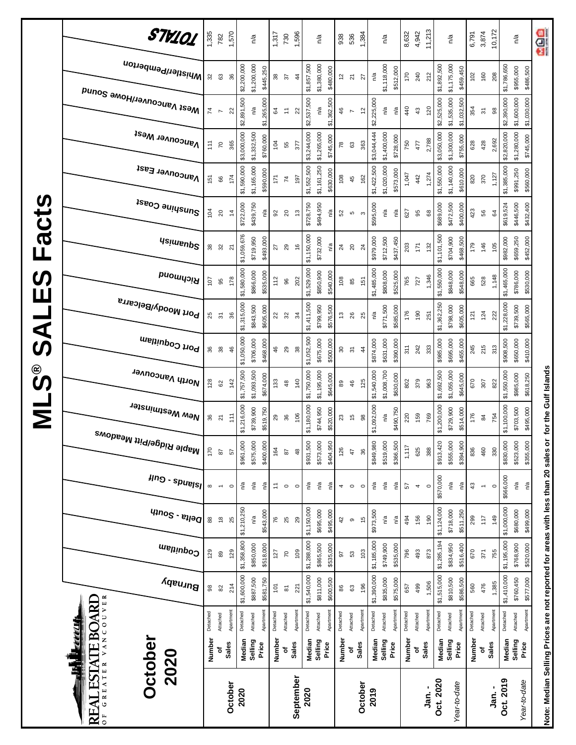|                            | STV101<br> Whistler/Pemberton                      | 1,335<br>32    | 782<br>$\mathbb{S}^3$          | 1,570<br>36    | \$2,200,000 | n/a<br>\$1,200,000 | \$445,250   | 1,317<br>$38\,$ | 730<br>$\sqrt{6}$                                               | 1,596<br>$\frac{4}{3}$ | \$1,857,500 | n/a<br>\$1,380,000 | \$480,000   | 938<br>5      | 536<br>$\overline{\mathbf{c}}$ | 1,384<br>27              | n/a         | n/a<br>\$1,118,000 | \$512,000 | 8,632<br>170 | 4,942<br>240             | 11,213<br>212 | \$1,892,500 | n/a<br>\$1,175,000<br>\$459,450 | 6,791<br>102 | 3,874<br>160             | 10,172<br>208 | \$1,786,650 | n/a<br>\$955,000        | aos<br>\$486,500        |
|----------------------------|----------------------------------------------------|----------------|--------------------------------|----------------|-------------|--------------------|-------------|-----------------|-----------------------------------------------------------------|------------------------|-------------|--------------------|-------------|---------------|--------------------------------|--------------------------|-------------|--------------------|-----------|--------------|--------------------------|---------------|-------------|---------------------------------|--------------|--------------------------|---------------|-------------|-------------------------|-------------------------|
|                            | Mest Vancouver/Howe Sound                          | $\overline{7}$ | $\overline{ }$                 | 22             | \$2,891,500 | n/a                | \$1,265,000 | \$4             | $\stackrel{\scriptscriptstyle\smile}{\scriptscriptstyle\smile}$ | 22                     | \$2,537,500 | n/a                | \$1,362,500 | 46            | $\overline{ }$                 | $\overline{\mathcal{L}}$ | \$2,225,000 | ηã                 | n/a       | 440          | $43$                     | 120           | \$2,525,000 | \$1,535,000<br>\$1,032,500      | 354          | $\overline{\mathcal{C}}$ | 98            | \$2,390,000 | \$1,600,000             | \$1,030,000             |
|                            | <b>Vancouver West</b>                              | 111            | $\overline{C}$                 | 365            | \$3,000,000 | \$1,332,500        | \$760,000   | 104             | 55                                                              | 377                    | \$3,244,000 | \$1,265,000        | \$745,000   | $\frac{8}{2}$ | 63                             | 363                      | \$3,044,444 | \$1,400,000        | \$728,000 | 750          | 477                      | 2,788         | \$3,050,000 | \$1,300,000<br>\$755,000        | 628          | 428                      | 2,692         | \$2,820,000 | \$1,280,000             | \$745,000               |
|                            | Vancouver East                                     | 151            | 89                             | 174            | \$1,590,000 | \$1,165,000        | \$590,000   | 171             | $\mathsf{z}$                                                    | 197                    | \$1,552,500 | \$1,161,250        | \$630,000   | 108           | 45                             | 162                      | \$1,422,500 | \$1,020,000        | \$573,000 | 1,047        | 442                      | 1,274         | \$1,550,000 | \$1,140,000<br>\$610,000        | 820          | 370                      | 1,127         | \$1,385,000 | \$991,250               | \$560,000               |
| Facts                      | Sunshine Coast                                     | 104            | $\overline{c}$                 | $\ddot{4}$     | \$722,000   | \$439,750          | n/a         | 92              | $20$                                                            | $\frac{3}{2}$          | \$728,750   | \$494,950          | n/a         | 3             | Б                              | S                        | \$595,000   | n/a                | n/a       | 627          | 95                       | 68            | \$689,000   | \$472,500<br>\$400,000          | 423          | 56                       | 3             | \$619,524   | \$446,500               | \$432,400               |
|                            | <b>Usimenp<sup>2</sup></b>                         | $38\,$         | 32                             | $\overline{2}$ | \$1,059,676 | \$719,950          | \$493,000   | 27              | 29                                                              | $\frac{6}{5}$          | \$1,150,000 | \$732,000          | n/a         | 24            | $\overline{20}$                | $^{24}$                  | \$979,000   | \$712,500          | \$437,450 | 203          | 171                      | 132           | \$1,101,500 | \$704,900<br>\$468,500          | 179          | 146                      | 105           | \$982,000   | \$659,250               | \$452,000               |
| $\boldsymbol{\omega}$<br>Ш | Richmond                                           | 107            | 95                             | 178            | \$1,580,000 | \$866,000          | \$535,000   | 112             | 96                                                              | 202                    | \$1,529,000 | \$850,900          | \$540,000   | 108           | 85                             | 151                      | \$1,485,000 | \$808,000          | \$525,000 | 765          | 727                      | 1,346         | \$1,550,000 | \$848,000<br>\$548,000          | 665          | 528                      | 1,148         | \$1,465,000 | \$786,000               | \$530,000               |
| <b>UAS</b>                 | Port Moody/Belcarra                                | 25             | $\overline{\mathcal{E}}$       | 36             | \$1,315,000 | \$843,500          | \$605,000   | 22              | 32                                                              | $\frac{3}{4}$          | \$1,411,500 | \$799,950          | \$576,500   | 13            | 26                             | 25                       | n/a         | \$771,500          | \$585,000 | 176          | 190                      | 251           | \$1,362,250 | \$798,000<br>\$605,000          | 121          | 124                      | 222           | \$1,228,000 | \$739,500               | \$565,000               |
|                            | Port Coquitlam                                     | 36             | $38\,$                         | 46             | \$1,050,000 | \$706,000          | \$468,000   | 46              | 29                                                              | 38                     | \$1,052,500 | \$675,000          | \$500,000   | 30            | $\overline{3}$                 | $\ddot{4}$               | \$874,000   | \$631,000          | \$390,000 | 311          | 242                      | 333           | \$985,000   | \$695,000<br>\$455,000          | 245          | 215                      | 313           | \$908,500   | \$650,000               | \$410,000               |
| <b>SOIN</b>                | North Vancouver                                    | 128            | 62                             | 142            | \$1,757,500 | \$1,093,500        | \$674,000   | 133             | $48$                                                            | 140                    | \$1,750,000 | \$1,195,000        | \$645,000   | 89            | 46                             | 125                      | \$1,540,000 | \$1,008,700        | \$630,000 | 802          | 379                      | 963           | \$1,692,500 | \$1,055,000<br>\$645,000        | 670          | 307                      | 822           | \$1,550,000 | \$985,000               | \$618,250               |
|                            | New Westminster                                    | 36             | $\overline{2}$                 | $\ddot{=}$     | \$1,216,000 | \$739,900          | \$519,750   | 29              | 36                                                              | 106                    | \$1,180,000 | \$744,950          | \$520,000   | 23            | $\frac{5}{2}$                  | 88                       | \$1,092,000 | n/a                | \$490,750 | 220          | 159                      | 769           | \$1,200,000 | \$729,900<br>\$514,000          | 176          | $\overline{8}$           | 754           | \$1,100,000 | \$703,500               | \$495,000               |
|                            | , <sup>Maple Ridge/Pitt Meadows</sup>              | 170            | $\overline{8}$                 | 57             | \$961,000   | \$575,000          | \$400,000   | 164             | 87                                                              | 48                     | \$931,500   | \$573,000          | \$404,950   | 126           | 47                             | 36                       | \$849,980   | \$519,000          | \$366,500 | 1,117        | 625                      | 388           | \$913,420   | \$555,000<br>\$394,900          | 836          | 460                      | 330           | \$830,000   | \$523,000<br>\$355,000  |                         |
|                            | $\mu$ ng - spuelsl                                 | $\infty$       | $\overline{\phantom{0}}$       | $\circ$        | n⁄a         | ρŞ                 | n⁄a         | 1               | $\circ$                                                         | $\circ$                | n/a         | n/a                | n/a         | 4             | $\circ$                        | $\circ$                  | n/a         | n/a                | ηá        | 57           | $\overline{\mathcal{A}}$ | $\circ$       | \$570,000   | n/a<br>n/a                      | $43$         | $\overline{\phantom{a}}$ | $\circ$       | \$566,000   | $\mathsf{r}^\mathsf{a}$ | $\mathsf{r}^\mathsf{a}$ |
|                            | $q_{100}$ s - $e_{1100}$                           | $^{\tt 8}$     | $\overset{\circ}{\phantom{a}}$ | 25             | \$1,210,250 | n/a                | \$543,000   | 76              | 25                                                              | 29                     | \$1,150,000 | \$695,000          | \$495,000   | 42            | $\circ$                        | $\frac{5}{2}$            | \$973,500   | n/a                | n/a       | 494          | 156                      | 190           | \$1,124,000 | \$718,000<br>\$511,250          | 299          | 117                      | 149           | \$1,000,000 | \$680,000<br>\$499,000  |                         |
|                            | Coquitlam                                          | 129            | 89                             | 129            | \$1,358,800 | \$850,000          | \$518,000   | 127             | <b>SZ</b>                                                       | 109                    | \$1,288,000 | \$865,500          | \$535,000   | 92            | S3                             | 103                      | \$1,185,000 | \$749,900          | \$535,000 | 796          | 493                      | 873           | \$1,285,194 | \$834,950<br>\$516,400          | 670          | 371                      | 755           | \$1,195,000 | \$768,900<br>\$520,000  |                         |
|                            | Burnaby<br><b>ARU</b>                              | $\frac{8}{3}$  | $82$                           | 214            | \$1,600,000 | \$887,500          | \$581,750   | $\overline{5}$  | $\overline{\infty}$                                             | 221                    | \$1,540,000 | \$811,000          | \$600,500   | 86            | 63                             | 196                      | \$1,390,000 | \$835,000          | \$575,000 | 657          | 499                      | 1,506         | \$1,515,000 | \$810,500<br>\$586,500          | 560          | 476                      | 1,385         | \$1,410,000 | \$760,450<br>\$577,000  |                         |
|                            | VANCOUVER<br><b>ERELL</b><br>$\mathbb{I}\text{EO}$ | Detached       | Attached                       | Apartmen       | Detached    | Attached           | Apartment   | Detached        | Attached                                                        | Apartmen               | Detached    | Attached           | Apartment   | Detached      | Attached                       | Apartment                | Detached    | Attached           | Apartment | Detached     | Attached                 | Apartment     | Detached    | Apartmen<br>Attached            | Detached     | Attached                 | Apartment     | Detached    | Apartment<br>Attached   |                         |
|                            | <b>October</b><br>2020<br><b>LSTA</b><br>쁙         | Number         | ъ                              | Sales          | Median      | Selling            | Price       | Number          | ٥                                                               | Sales                  | Median      | Selling            | Price       | Number        | ٥                              | Sales                    | Median      | Selling            | Price     | Number       | Sales<br>ō               |               | Median      | Selling<br>Price                |              | Number<br>٥ť             | <b>Sales</b>  | Median      | Selling<br>Price        |                         |
|                            | GREATER<br>$\mathbf{Z}$<br>RE<br>$\overline{0}$    |                |                                | October        | 2020        |                    |             |                 |                                                                 | September              | 2020        |                    |             |               |                                | October                  | 2019        |                    |           |              |                          | Jan. -        | Oct. 2020   | Year-to-date                    |              |                          | .<br>San      | Oct. 2019   | Year-to-date            |                         |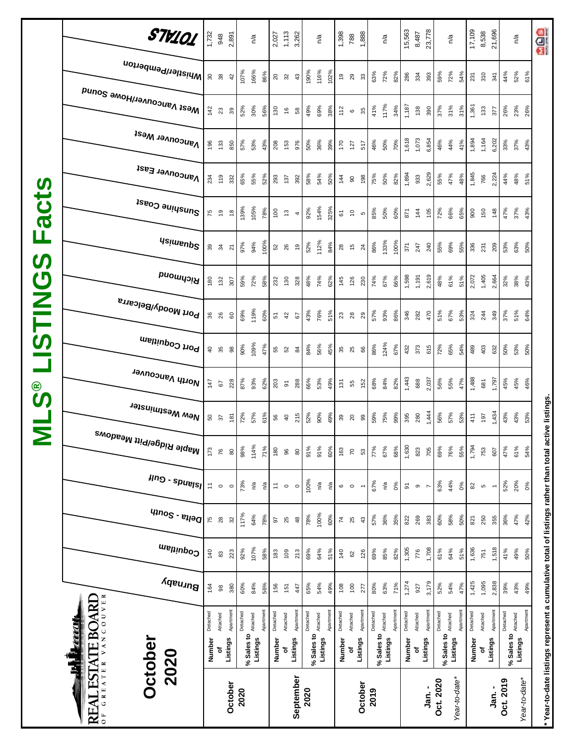|                         | STV101                                          | 1,732                                                              | 948          | 2,891           |          | n/a                             |           |                                                     | 2,027<br>1,113<br>3,262 |                |            | n/a                     |                 | 1,398            | 788              | 1,888                    |            | n/a                |           | 15,563                  | 8,487          | 23,778    |                     | n/a           |          | 17,109   | 8,538          | 21,696                   |           | n/a                                    | age                                                                                                 |
|-------------------------|-------------------------------------------------|--------------------------------------------------------------------|--------------|-----------------|----------|---------------------------------|-----------|-----------------------------------------------------|-------------------------|----------------|------------|-------------------------|-----------------|------------------|------------------|--------------------------|------------|--------------------|-----------|-------------------------|----------------|-----------|---------------------|---------------|----------|----------|----------------|--------------------------|-----------|----------------------------------------|-----------------------------------------------------------------------------------------------------|
|                         | Whistler/Pemberton                              |                                                                    | <b>98</b>    | 42              | 107%     | 166%                            | 86%       | 20<br>32                                            |                         | $43$           | 190%       | 116%                    | 102%            | e,               | 29               | $33\,$                   | 63%        | 72%                | 82%       | 286                     | 334            | 393       | 59%                 | 72%           | 54%      | 231      | 310            | 341                      | 44%       | 52%<br>61%                             |                                                                                                     |
|                         | <sub>Me2t</sub> <sub>N</sub> aucon∧e⊾Nome 2onuq | 142                                                                | 23           | $39$            | 52%      | 30%                             | 56%       | 130                                                 | $\frac{6}{2}$           | 58             | 49%        | 69%                     | 38%             | 112              | $\mathbf  \circ$ | 35                       | 41%        | 117%               | 34%       | 1,187                   | 138            | 390       | 37%                 | 31%           | 31%      | 1,361    | 133            | 377                      | 26%       | 23%<br>26%                             |                                                                                                     |
|                         | <b>Vancouver West</b>                           | 196                                                                | 133          | 850             | 57%      | 53%                             | 43%       | 208                                                 | 153                     | 976            | 50%        | 36%                     | 39%             | 170              | 127              | 517                      | 46%        | 50%                | 70%       | 1,618                   | 1,073          | 6,854     | 46%                 | 44%           | 41%      | 1,894    | 1,164          | 6,202                    | 33%       | 37%<br>43%                             |                                                                                                     |
|                         | Vancouver East                                  | 234                                                                | 119          | 332             | 65%      | 55%                             | 52%       | 293                                                 | 137                     | 392            | 58%        | 54%                     | 50%             | 144              | $\rm 90$         | 198                      | 75%        | 50%                | 82%       | 1,894                   | 933            | 2,629     | 55%                 | 47%           | 48%      | 1,845    | 766            | 2,224                    | 44%       | 48%<br>51%                             |                                                                                                     |
| <b>acts</b>             | Sunshine Coast                                  | 75                                                                 | $\tilde{e}$  | $\frac{8}{16}$  | 139%     | 105%                            | 78%       | $\overline{0}$                                      | $\frac{3}{2}$           | 4              | 92%        | 154%                    | 325%            | 61               | $\tilde{c}$      | $\mathfrak o$            | 85%        | 50%                | 60%       | 871                     | $\frac{44}{3}$ | 105       | 72%                 | 66%           | 65%      | 800      | 150            | 148                      | 47%       | 37%<br>43%                             |                                                                                                     |
| щ                       | <b>Asimeup<sup>2</sup></b>                      |                                                                    | 39           | $\overline{2}$  | 97%      | 94%                             | 100%      | 52                                                  | 26                      | $\frac{1}{6}$  | 52%        | 112%                    | 84%             | 28               | $\frac{6}{5}$    | $\overline{24}$          | 86%        | 133%               | 100%      | 371                     | 247            | 240       | 55%                 | 69%           | 55%      | 336      | 231            | 209                      | 53%       | 63%<br>50%                             |                                                                                                     |
| $\boldsymbol{\omega}$   | Richmond                                        | 180                                                                | 132          | 307             | 59%      | 72%                             | 58%       | 232                                                 | 130                     | 328            | 48%        | 74%                     | 62%             | 145              | 126              | 230                      | 74%        | 67%                | 66%       | 1,598                   | 1,191          | 2,619     | 48%                 | 61%           | 51%      | 2,072    | 1,405          | 2,664                    | 32%       | 38%<br>43%                             |                                                                                                     |
| <b>SNILSIT</b>          | <sup>, Port Moody/Belcarra</sup>                |                                                                    | <b>36</b> 86 | $\mbox{6}$      | 69%      | 119%                            | 60%       | 51                                                  | 42                      | 5              | 43%        | 76%                     | 51%             | $23\,$           | 28               | 29                       | 57%        | 93%                | 86%       | 346                     | 282            | 470       | 51%                 | 67%           | 53%      | 324      | 244            | 349                      | 37%       | 51%<br>64%                             |                                                                                                     |
|                         | Port Coquitlam                                  | $\overline{4}$                                                     | 35           | $_{98}$         | 90%      | 109%                            | 47%       | 55                                                  | 52                      | $\overline{8}$ | 84%        | 56%                     | 45%             | 35               | 25               | 66                       | 86%        | 124%               | 67%       | 432                     | 373            | 615       | 72%                 | 65%           | 54%      | 489      | 403            | 632                      | 50%       | 53%<br>50%                             |                                                                                                     |
| <b>ေ</b>                | North Vancouver                                 | 147                                                                | 57           | 228             | 87%      | 93%                             | 62%       | 203                                                 | $\overline{\mathsf{o}}$ | 288            | 66%        | 53%                     | 49%             | 131              | 55               | 152                      | 68%        | 84%                | 82%       | 1,443                   | 688            | 2,037     | 56%                 | 55%           | 47%      | 1,488    | 681            | 1,797                    | 45%       | 45%<br>46%                             |                                                                                                     |
| $\overline{\mathsf{z}}$ | , <sup>New Westminster</sup>                    |                                                                    | 50<br>37     | $\frac{181}{2}$ | 72%      | 57%                             | 61%       | 56                                                  | $\overline{4}$          | 215            | 52%        | 90%                     | 49%             | 39               | $\overline{20}$  | 99                       | 59%        | 75%                | 99%       | 395                     | 280            | 1,444     | 56%                 | 57%           | 53%      | 411      | 197            | 1,434                    | 43%       | 43%<br>53%                             |                                                                                                     |
|                         | , <sup>Maple Ridge/Pitt Meadows</sup>           | 173                                                                | 76           | 80              | 98%      | 114%                            | 71%       | 180                                                 | 96                      | $\rm ^{\rm 8}$ | 91%        | 91%                     | 60%             | 163              | $\overline{z}$   | 53                       | 77%        | 67%                | 68%       | 1,630                   | 823            | 705       | 69%                 | 76%           | 55%      | 1,794    | 753            | 607                      | 47%       | 61%<br>54%                             |                                                                                                     |
|                         | $\mu$ ng - spuelsl                              | $\stackrel{\scriptstyle +}{\scriptstyle \scriptstyle \rightarrow}$ | $\circ$      | $\circ$         | 73%      | ηá                              | n/a       | $\stackrel{\scriptstyle\smile}{\scriptstyle\smile}$ | $\circ$                 | $\circ$        | 100%       | $\mathsf{r}^\mathsf{a}$ | n <sup>/a</sup> | $\mathbf  \circ$ | $\circ$          | $\overline{\phantom{m}}$ | 67%        | $\tilde{\epsilon}$ | 0%        | $\overline{\mathbf{e}}$ | ၜ              |           | 63%                 | 44%           | 0%       | 82       | $\mathfrak{c}$ | $\overline{\phantom{a}}$ | 52%       | 20%<br>0%                              |                                                                                                     |
|                         | $q_{100}$ s - $e_{100}$                         | 75                                                                 | $28$         | 32              | 117%     | 64%                             | 78%       | 56                                                  | 25                      | $48$           | 78%        | 100%                    | 60%             | $\overline{7}$   | 25               | 43                       | 57%        | 36%                | 35%       | 822                     | 269            | 383       | 60%                 | 58%           | 50%      | 821      | 250            | 355                      | 36%       | 47%<br>42%                             |                                                                                                     |
|                         | Coquitlam                                       | 140                                                                | 33           | 223             | 92%      | 107%                            | 58%       | 183                                                 | 109                     | 213            | 69%        | 64%                     | 51%             | 140              | 8                | 126                      | 69%        | 85%                | 82%       | 1,305                   | 776            | 1,708     | 61%                 | 64%           | 51%      | 1,636    | 751            | 1,518                    | 41%       | 49%<br>50%                             |                                                                                                     |
|                         | Burnaby                                         | 164                                                                | $_{98}$      | 380             | 60%      | 84%                             | 56%       | 156                                                 | 151                     | 447            | 65%        | 54%                     | 49%             | 108              | 100              | 277                      | 80%        | 63%                | 71%       | 1,274                   | 927            | 3,179     | 52%                 | 54%           | 47%      | 1,425    | 1,095          | 2,838                    | 39%       | 43%<br>49%                             |                                                                                                     |
|                         | VANCOUVER<br><b>ESTATE BOARD</b><br><u>ekti</u> | Detached                                                           | Attached     | Apartment       | Detached |                                 | Apartment | Detached                                            | Attached                | Apartment      | Detached   | Attached                | Apartment       | Detached         | Attached         | Apartment                | Detached   | Attached           | Apartment | Detached                | Attached       | Apartment | Detached            |               | Apartmen | Detached | Attached       | Apartment                | Detached  | Apartment                              |                                                                                                     |
|                         | <b>October</b><br>2020<br>3                     | Number                                                             | ъ            | Listings        |          | % Sales to Attached<br>Listings |           | Number                                              | đ                       | Listings       | % Sales to | Listings                |                 | Number           | ъ                | Listings                 | % Sales to | Listings           |           | Number                  | Listings<br>ō  |           | % Sales to Attached | Listings      |          | Number   | ৳              | Listings                 |           | % Sales to <b>Attached</b><br>Listings |                                                                                                     |
|                         | GREATER<br>REAL<br>$\overline{0}$               |                                                                    |              | October         | 2020     |                                 |           |                                                     |                         | September      | 2020       |                         |                 |                  |                  | October                  | 2019       |                    |           |                         |                | Jan. -    | Oct. 2020           | Year-to-date* |          |          |                | Jan. -                   | Oct. 2019 | Year-to-date*                          | * Year-to-date listings represent a cumulative total of listings rather than total active listings. |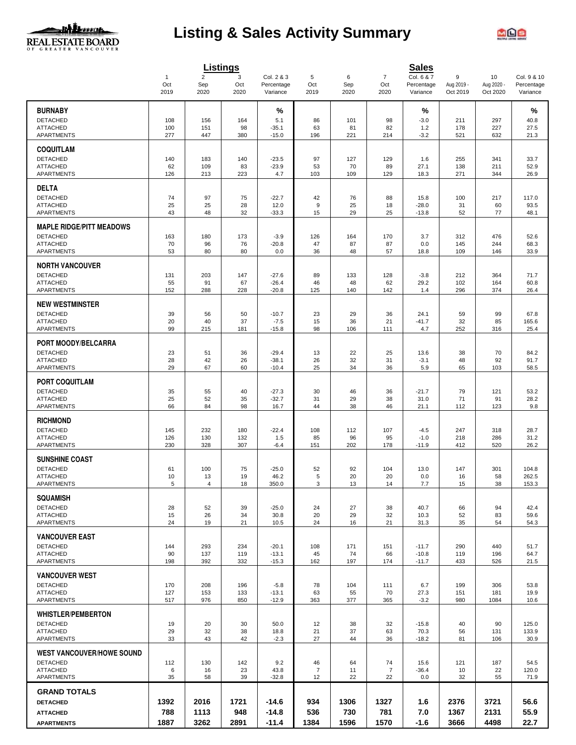

# **Listing & Sales Activity Summary**



|                                      |                       |                       | Listings   |                          |                      |           |                       | <b>Sales</b>             |                 |                  |                           |
|--------------------------------------|-----------------------|-----------------------|------------|--------------------------|----------------------|-----------|-----------------------|--------------------------|-----------------|------------------|---------------------------|
|                                      | $\overline{1}$<br>Oct | $\overline{2}$<br>Sep | 3<br>Oct   | Col. 2 & 3<br>Percentage | 5<br>Oct             | 6<br>Sep  | $\overline{7}$<br>Oct | Col. 6 & 7<br>Percentage | 9<br>Aug 2019 - | 10<br>Aug 2020 - | Col. 9 & 10<br>Percentage |
|                                      | 2019                  | 2020                  | 2020       | Variance                 | 2019                 | 2020      | 2020                  | Variance                 | Oct 2019        | Oct 2020         | Variance                  |
| <b>BURNABY</b>                       |                       |                       |            | %                        |                      |           |                       | %                        |                 |                  | %                         |
| <b>DETACHED</b>                      | 108                   | 156                   | 164        | 5.1                      | 86                   | 101       | 98                    | $-3.0$                   | 211             | 297              | 40.8                      |
| <b>ATTACHED</b><br><b>APARTMENTS</b> | 100<br>277            | 151<br>447            | 98<br>380  | $-35.1$<br>$-15.0$       | 63<br>196            | 81<br>221 | 82<br>214             | 1.2<br>$-3.2$            | 178<br>521      | 227<br>632       | 27.5<br>21.3              |
|                                      |                       |                       |            |                          |                      |           |                       |                          |                 |                  |                           |
| <b>COQUITLAM</b><br><b>DETACHED</b>  | 140                   | 183                   | 140        | $-23.5$                  | 97                   | 127       | 129                   | 1.6                      | 255             | 341              | 33.7                      |
| <b>ATTACHED</b>                      | 62                    | 109                   | 83         | $-23.9$                  | 53                   | 70        | 89                    | 27.1                     | 138             | 211              | 52.9                      |
| APARTMENTS                           | 126                   | 213                   | 223        | 4.7                      | 103                  | 109       | 129                   | 18.3                     | 271             | 344              | 26.9                      |
| <b>DELTA</b>                         |                       |                       |            |                          |                      |           |                       |                          |                 |                  |                           |
| <b>DETACHED</b>                      | 74                    | 97                    | 75         | $-22.7$                  | 42                   | 76        | 88                    | 15.8                     | 100             | 217              | 117.0                     |
| <b>ATTACHED</b>                      | 25<br>43              | 25<br>48              | 28<br>32   | 12.0                     | 9<br>15              | 25<br>29  | 18<br>25              | $-28.0$                  | 31<br>52        | 60<br>77         | 93.5                      |
| APARTMENTS                           |                       |                       |            | $-33.3$                  |                      |           |                       | $-13.8$                  |                 |                  | 48.1                      |
| <b>MAPLE RIDGE/PITT MEADOWS</b>      |                       |                       |            |                          |                      |           |                       |                          |                 |                  |                           |
| <b>DETACHED</b><br><b>ATTACHED</b>   | 163<br>70             | 180<br>96             | 173<br>76  | $-3.9$<br>$-20.8$        | 126<br>47            | 164<br>87 | 170<br>87             | 3.7<br>0.0               | 312<br>145      | 476<br>244       | 52.6<br>68.3              |
| <b>APARTMENTS</b>                    | 53                    | 80                    | 80         | 0.0                      | 36                   | 48        | 57                    | 18.8                     | 109             | 146              | 33.9                      |
| <b>NORTH VANCOUVER</b>               |                       |                       |            |                          |                      |           |                       |                          |                 |                  |                           |
| <b>DETACHED</b>                      | 131                   | 203                   | 147        | $-27.6$                  | 89                   | 133       | 128                   | $-3.8$                   | 212             | 364              | 71.7                      |
| <b>ATTACHED</b>                      | 55                    | 91                    | 67         | $-26.4$                  | 46                   | 48        | 62                    | 29.2                     | 102             | 164              | 60.8                      |
| <b>APARTMENTS</b>                    | 152                   | 288                   | 228        | $-20.8$                  | 125                  | 140       | 142                   | 1.4                      | 296             | 374              | 26.4                      |
| <b>NEW WESTMINSTER</b>               |                       |                       |            |                          |                      |           |                       |                          |                 |                  |                           |
| <b>DETACHED</b>                      | 39                    | 56                    | 50         | $-10.7$                  | 23                   | 29        | 36                    | 24.1                     | 59              | 99               | 67.8                      |
| <b>ATTACHED</b>                      | 20                    | 40                    | 37         | $-7.5$                   | 15                   | 36        | 21                    | $-41.7$                  | 32              | 85               | 165.6                     |
| APARTMENTS                           | 99                    | 215                   | 181        | $-15.8$                  | 98                   | 106       | 111                   | 4.7                      | 252             | 316              | 25.4                      |
| PORT MOODY/BELCARRA                  |                       |                       |            |                          |                      |           |                       |                          |                 |                  |                           |
| <b>DETACHED</b>                      | 23                    | 51                    | 36         | $-29.4$                  | 13                   | 22        | 25                    | 13.6                     | 38              | 70               | 84.2                      |
| <b>ATTACHED</b><br>APARTMENTS        | 28<br>29              | 42<br>67              | 26<br>60   | $-38.1$<br>$-10.4$       | 26<br>25             | 32<br>34  | 31<br>36              | $-3.1$<br>5.9            | 48<br>65        | 92<br>103        | 91.7<br>58.5              |
|                                      |                       |                       |            |                          |                      |           |                       |                          |                 |                  |                           |
| <b>PORT COQUITLAM</b>                |                       |                       |            |                          |                      |           |                       |                          |                 |                  |                           |
| <b>DETACHED</b><br><b>ATTACHED</b>   | 35<br>25              | 55<br>52              | 40<br>35   | $-27.3$<br>$-32.7$       | 30<br>31             | 46<br>29  | 36<br>38              | $-21.7$<br>31.0          | 79<br>71        | 121<br>91        | 53.2<br>28.2              |
| APARTMENTS                           | 66                    | 84                    | 98         | 16.7                     | 44                   | 38        | 46                    | 21.1                     | 112             | 123              | 9.8                       |
| <b>RICHMOND</b>                      |                       |                       |            |                          |                      |           |                       |                          |                 |                  |                           |
| <b>DETACHED</b>                      | 145                   | 232                   | 180        | $-22.4$                  | 108                  | 112       | 107                   | $-4.5$                   | 247             | 318              | 28.7                      |
| <b>ATTACHED</b>                      | 126                   | 130                   | 132        | 1.5                      | 85                   | 96        | 95                    | $-1.0$                   | 218             | 286              | 31.2                      |
| <b>APARTMENTS</b>                    | 230                   | 328                   | 307        | $-6.4$                   | 151                  | 202       | 178                   | $-11.9$                  | 412             | 520              | 26.2                      |
| <b>SUNSHINE COAST</b>                |                       |                       |            |                          |                      |           |                       |                          |                 |                  |                           |
| <b>DETACHED</b>                      | 61                    | 100                   | 75         | $-25.0$                  | 52                   | 92        | 104                   | 13.0                     | 147             | 301              | 104.8                     |
| <b>ATTACHED</b><br><b>APARTMENTS</b> | 10<br>5               | 13<br>4               | 19<br>18   | 46.2<br>350.0            | $\sqrt{5}$<br>3      | 20<br>13  | 20<br>14              | 0.0<br>7.7               | 16<br>15        | 58<br>38         | 262.5<br>153.3            |
|                                      |                       |                       |            |                          |                      |           |                       |                          |                 |                  |                           |
| <b>SQUAMISH</b><br><b>DETACHED</b>   | 28                    | 52                    | 39         | $-25.0$                  | 24                   | 27        | 38                    | 40.7                     | 66              | 94               | 42.4                      |
| <b>ATTACHED</b>                      | 15                    | 26                    | 34         | 30.8                     | 20                   | 29        | 32                    | 10.3                     | 52              | 83               | 59.6                      |
| <b>APARTMENTS</b>                    | 24                    | 19                    | 21         | 10.5                     | 24                   | 16        | 21                    | 31.3                     | 35              | 54               | 54.3                      |
| <b>VANCOUVER EAST</b>                |                       |                       |            |                          |                      |           |                       |                          |                 |                  |                           |
| <b>DETACHED</b>                      | 144                   | 293                   | 234        | $-20.1$                  | 108                  | 171       | 151                   | $-11.7$                  | 290             | 440              | 51.7                      |
| <b>ATTACHED</b>                      | 90                    | 137                   | 119        | $-13.1$                  | 45                   | 74        | 66                    | $-10.8$                  | 119             | 196              | 64.7                      |
| APARTMENTS                           | 198                   | 392                   | 332        | $-15.3$                  | 162                  | 197       | 174                   | $-11.7$                  | 433             | 526              | 21.5                      |
| <b>VANCOUVER WEST</b>                |                       |                       |            |                          |                      |           |                       |                          |                 |                  |                           |
| <b>DETACHED</b><br><b>ATTACHED</b>   | 170<br>127            | 208<br>153            | 196<br>133 | $-5.8$<br>$-13.1$        | 78<br>63             | 104<br>55 | 111<br>70             | 6.7<br>27.3              | 199<br>151      | 306<br>181       | 53.8<br>19.9              |
| <b>APARTMENTS</b>                    | 517                   | 976                   | 850        | $-12.9$                  | 363                  | 377       | 365                   | $-3.2$                   | 980             | 1084             | 10.6                      |
| <b>WHISTLER/PEMBERTON</b>            |                       |                       |            |                          |                      |           |                       |                          |                 |                  |                           |
| <b>DETACHED</b>                      | 19                    | 20                    | 30         | 50.0                     | 12                   | 38        | 32                    | $-15.8$                  | 40              | 90               | 125.0                     |
| <b>ATTACHED</b>                      | 29                    | 32                    | 38         | 18.8                     | 21                   | 37        | 63                    | 70.3                     | 56              | 131              | 133.9                     |
| APARTMENTS                           | 33                    | 43                    | 42         | $-2.3$                   | 27                   | 44        | 36                    | $-18.2$                  | 81              | 106              | 30.9                      |
| <b>WEST VANCOUVER/HOWE SOUND</b>     |                       |                       |            |                          |                      |           |                       |                          |                 |                  |                           |
| <b>DETACHED</b>                      | 112                   | 130                   | 142        | 9.2                      | 46                   | 64        | 74                    | 15.6                     | 121             | 187              | 54.5                      |
| <b>ATTACHED</b><br><b>APARTMENTS</b> | 6<br>35               | 16<br>58              | 23<br>39   | 43.8<br>$-32.8$          | $\overline{7}$<br>12 | 11<br>22  | 7<br>22               | $-36.4$<br>0.0           | 10<br>32        | 22<br>55         | 120.0<br>71.9             |
|                                      |                       |                       |            |                          |                      |           |                       |                          |                 |                  |                           |
| <b>GRAND TOTALS</b>                  |                       |                       |            |                          |                      |           |                       |                          |                 |                  |                           |
| <b>DETACHED</b>                      | 1392                  | 2016                  | 1721       | -14.6                    | 934                  | 1306      | 1327                  | 1.6                      | 2376            | 3721             | 56.6                      |
| <b>ATTACHED</b>                      | 788                   | 1113                  | 948        | $-14.8$                  | 536                  | 730       | 781                   | 7.0                      | 1367            | 2131             | 55.9                      |
| <b>APARTMENTS</b>                    | 1887                  | 3262                  | 2891       | $-11.4$                  | 1384                 | 1596      | 1570                  | $-1.6$                   | 3666            | 4498             | 22.7                      |